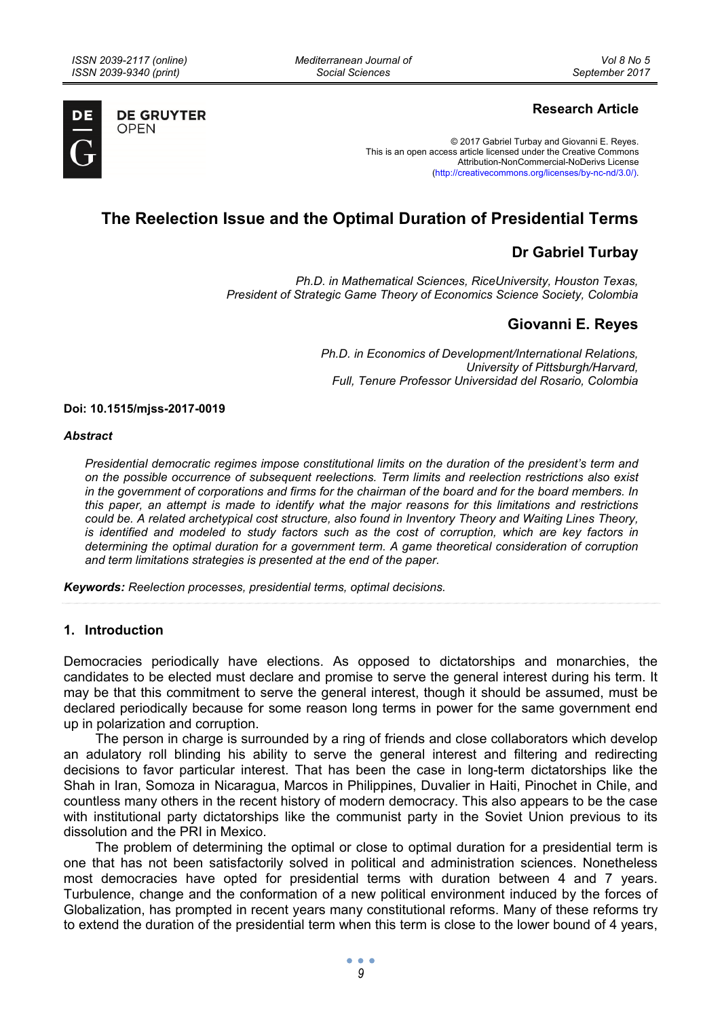*Mediterranean Journal of Social Sciences* 



**DE GRUYTER OPEN** 

# **Research Article**

© 2017 Gabriel Turbay and Giovanni E. Reyes. This is an open access article licensed under the Creative Commons Attribution-NonCommercial-NoDerivs License (http://creativecommons.org/licenses/by-nc-nd/3.0/).

# **The Reelection Issue and the Optimal Duration of Presidential Terms**

# **Dr Gabriel Turbay**

*Ph.D. in Mathematical Sciences, RiceUniversity, Houston Texas, President of Strategic Game Theory of Economics Science Society, Colombia* 

# **Giovanni E. Reyes**

*Ph.D. in Economics of Development/International Relations, University of Pittsburgh/Harvard, Full, Tenure Professor Universidad del Rosario, Colombia* 

**Doi: 10.1515/mjss-2017-0019** 

#### *Abstract*

*Presidential democratic regimes impose constitutional limits on the duration of the president's term and on the possible occurrence of subsequent reelections. Term limits and reelection restrictions also exist in the government of corporations and firms for the chairman of the board and for the board members. In this paper, an attempt is made to identify what the major reasons for this limitations and restrictions could be. A related archetypical cost structure, also found in Inventory Theory and Waiting Lines Theory, is identified and modeled to study factors such as the cost of corruption, which are key factors in determining the optimal duration for a government term. A game theoretical consideration of corruption and term limitations strategies is presented at the end of the paper.* 

*Keywords: Reelection processes, presidential terms, optimal decisions.* 

#### **1. Introduction**

Democracies periodically have elections. As opposed to dictatorships and monarchies, the candidates to be elected must declare and promise to serve the general interest during his term. It may be that this commitment to serve the general interest, though it should be assumed, must be declared periodically because for some reason long terms in power for the same government end up in polarization and corruption.

The person in charge is surrounded by a ring of friends and close collaborators which develop an adulatory roll blinding his ability to serve the general interest and filtering and redirecting decisions to favor particular interest. That has been the case in long-term dictatorships like the Shah in Iran, Somoza in Nicaragua, Marcos in Philippines, Duvalier in Haiti, Pinochet in Chile, and countless many others in the recent history of modern democracy. This also appears to be the case with institutional party dictatorships like the communist party in the Soviet Union previous to its dissolution and the PRI in Mexico.

The problem of determining the optimal or close to optimal duration for a presidential term is one that has not been satisfactorily solved in political and administration sciences. Nonetheless most democracies have opted for presidential terms with duration between 4 and 7 years. Turbulence, change and the conformation of a new political environment induced by the forces of Globalization, has prompted in recent years many constitutional reforms. Many of these reforms try to extend the duration of the presidential term when this term is close to the lower bound of 4 years,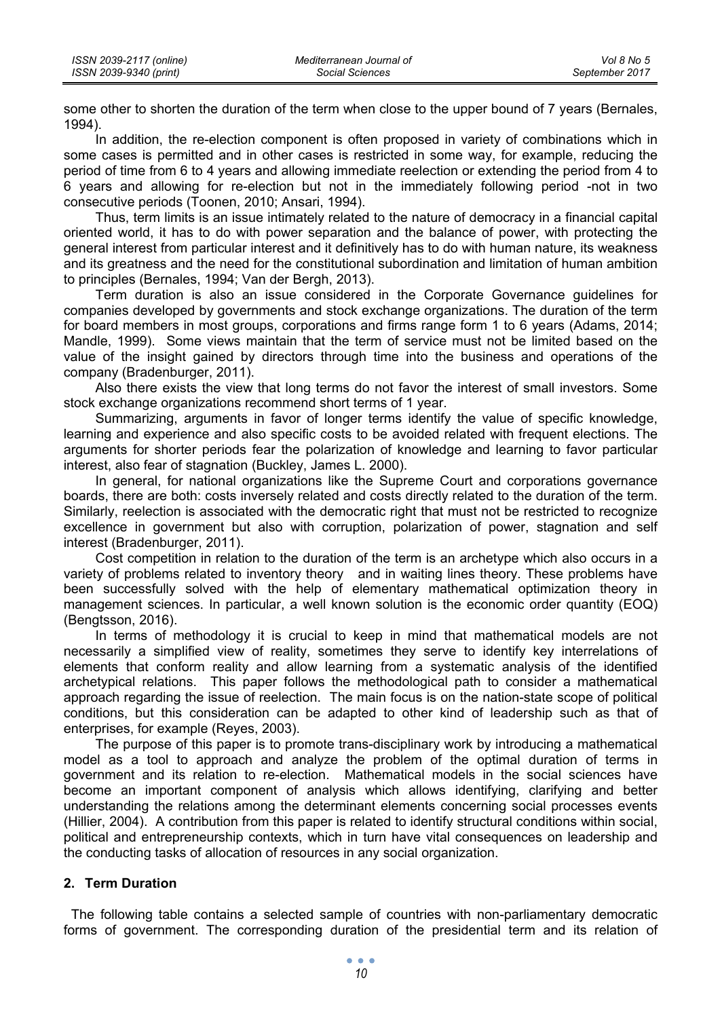| ISSN 2039-2117 (online) | Mediterranean Journal of | Vol 8 No 5     |
|-------------------------|--------------------------|----------------|
| ISSN 2039-9340 (print)  | Social Sciences          | September 2017 |

some other to shorten the duration of the term when close to the upper bound of 7 years (Bernales, 1994).

In addition, the re-election component is often proposed in variety of combinations which in some cases is permitted and in other cases is restricted in some way, for example, reducing the period of time from 6 to 4 years and allowing immediate reelection or extending the period from 4 to 6 years and allowing for re-election but not in the immediately following period -not in two consecutive periods (Toonen, 2010; Ansari, 1994).

Thus, term limits is an issue intimately related to the nature of democracy in a financial capital oriented world, it has to do with power separation and the balance of power, with protecting the general interest from particular interest and it definitively has to do with human nature, its weakness and its greatness and the need for the constitutional subordination and limitation of human ambition to principles (Bernales, 1994; Van der Bergh, 2013).

Term duration is also an issue considered in the Corporate Governance guidelines for companies developed by governments and stock exchange organizations. The duration of the term for board members in most groups, corporations and firms range form 1 to 6 years (Adams, 2014; Mandle, 1999). Some views maintain that the term of service must not be limited based on the value of the insight gained by directors through time into the business and operations of the company (Bradenburger, 2011).

Also there exists the view that long terms do not favor the interest of small investors. Some stock exchange organizations recommend short terms of 1 year.

Summarizing, arguments in favor of longer terms identify the value of specific knowledge, learning and experience and also specific costs to be avoided related with frequent elections. The arguments for shorter periods fear the polarization of knowledge and learning to favor particular interest, also fear of stagnation (Buckley, James L. 2000).

In general, for national organizations like the Supreme Court and corporations governance boards, there are both: costs inversely related and costs directly related to the duration of the term. Similarly, reelection is associated with the democratic right that must not be restricted to recognize excellence in government but also with corruption, polarization of power, stagnation and self interest (Bradenburger, 2011).

Cost competition in relation to the duration of the term is an archetype which also occurs in a variety of problems related to inventory theory and in waiting lines theory. These problems have been successfully solved with the help of elementary mathematical optimization theory in management sciences. In particular, a well known solution is the economic order quantity (EOQ) (Bengtsson, 2016).

In terms of methodology it is crucial to keep in mind that mathematical models are not necessarily a simplified view of reality, sometimes they serve to identify key interrelations of elements that conform reality and allow learning from a systematic analysis of the identified archetypical relations. This paper follows the methodological path to consider a mathematical approach regarding the issue of reelection. The main focus is on the nation-state scope of political conditions, but this consideration can be adapted to other kind of leadership such as that of enterprises, for example (Reyes, 2003).

The purpose of this paper is to promote trans-disciplinary work by introducing a mathematical model as a tool to approach and analyze the problem of the optimal duration of terms in government and its relation to re-election. Mathematical models in the social sciences have become an important component of analysis which allows identifying, clarifying and better understanding the relations among the determinant elements concerning social processes events (Hillier, 2004). A contribution from this paper is related to identify structural conditions within social, political and entrepreneurship contexts, which in turn have vital consequences on leadership and the conducting tasks of allocation of resources in any social organization.

#### **2. Term Duration**

 The following table contains a selected sample of countries with non-parliamentary democratic forms of government. The corresponding duration of the presidential term and its relation of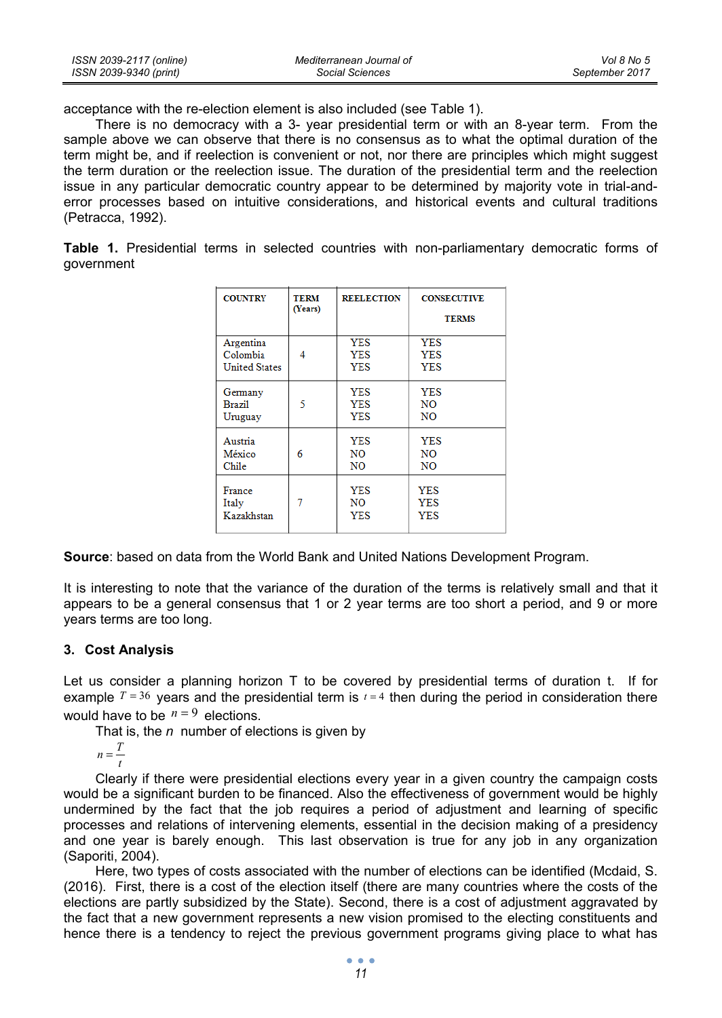| ISSN 2039-2117 (online) | Mediterranean Journal of | Vol 8 No 5     |
|-------------------------|--------------------------|----------------|
| ISSN 2039-9340 (print)  | Social Sciences          | September 2017 |

acceptance with the re-election element is also included (see Table 1).

There is no democracy with a 3- year presidential term or with an 8-year term. From the sample above we can observe that there is no consensus as to what the optimal duration of the term might be, and if reelection is convenient or not, nor there are principles which might suggest the term duration or the reelection issue. The duration of the presidential term and the reelection issue in any particular democratic country appear to be determined by majority vote in trial-anderror processes based on intuitive considerations, and historical events and cultural traditions (Petracca, 1992).

**Table 1.** Presidential terms in selected countries with non-parliamentary democratic forms of government

| <b>COUNTRY</b>       | <b>TERM</b><br>(Years) | <b>REELECTION</b> | <b>CONSECUTIVE</b><br><b>TERMS</b> |
|----------------------|------------------------|-------------------|------------------------------------|
| Argentina            | 4                      | <b>YES</b>        | <b>YES</b>                         |
| Colombia             |                        | <b>YES</b>        | <b>YES</b>                         |
| <b>United States</b> |                        | <b>YES</b>        | <b>YES</b>                         |
| Germany              | 5                      | <b>YES</b>        | <b>YES</b>                         |
| <b>Brazil</b>        |                        | <b>YES</b>        | <b>NO</b>                          |
| Uruguay              |                        | <b>YES</b>        | NO                                 |
| Austria              | 6                      | <b>YES</b>        | <b>YES</b>                         |
| México               |                        | NO                | NO                                 |
| Chile                |                        | NO.               | N <sub>O</sub>                     |
| France               | 7                      | <b>YES</b>        | <b>YES</b>                         |
| Italy                |                        | NO.               | <b>YES</b>                         |
| Kazakhstan           |                        | <b>YES</b>        | YES                                |

**Source**: based on data from the World Bank and United Nations Development Program.

It is interesting to note that the variance of the duration of the terms is relatively small and that it appears to be a general consensus that 1 or 2 year terms are too short a period, and 9 or more years terms are too long.

### **3. Cost Analysis**

Let us consider a planning horizon T to be covered by presidential terms of duration t. If for example  $T = 36$  years and the presidential term is  $t = 4$  then during the period in consideration there would have to be  $n = 9$  elections.

That is, the *n* number of elections is given by

 $n = \frac{T}{t}$ 

Clearly if there were presidential elections every year in a given country the campaign costs would be a significant burden to be financed. Also the effectiveness of government would be highly undermined by the fact that the job requires a period of adjustment and learning of specific processes and relations of intervening elements, essential in the decision making of a presidency and one year is barely enough. This last observation is true for any job in any organization (Saporiti, 2004).

Here, two types of costs associated with the number of elections can be identified (Mcdaid, S. (2016). First, there is a cost of the election itself (there are many countries where the costs of the elections are partly subsidized by the State). Second, there is a cost of adjustment aggravated by the fact that a new government represents a new vision promised to the electing constituents and hence there is a tendency to reject the previous government programs giving place to what has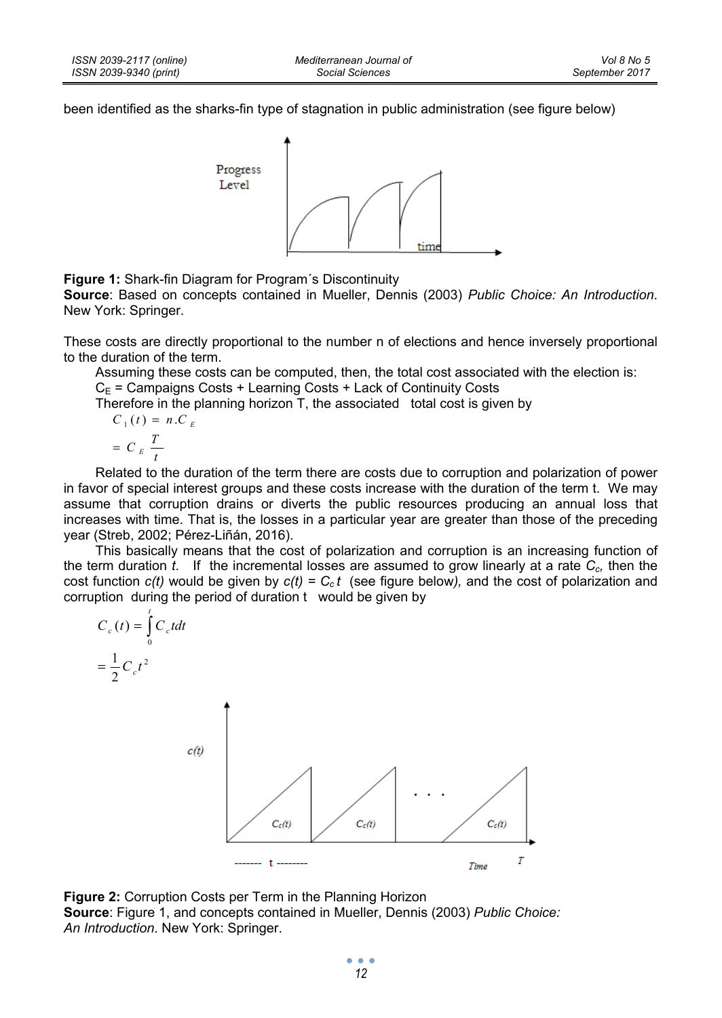been identified as the sharks-fin type of stagnation in public administration (see figure below)



**Figure 1:** Shark-fin Diagram for Program´s Discontinuity

**Source**: Based on concepts contained in Mueller, Dennis (2003) *Public Choice: An Introduction*. New York: Springer.

These costs are directly proportional to the number n of elections and hence inversely proportional to the duration of the term.

Assuming these costs can be computed, then, the total cost associated with the election is:

 $C_E$  = Campaigns Costs + Learning Costs + Lack of Continuity Costs

Therefore in the planning horizon T, the associated total cost is given by

$$
C_1(t) = n.C
$$

$$
= C_E \frac{T}{t}
$$

*E*

Related to the duration of the term there are costs due to corruption and polarization of power in favor of special interest groups and these costs increase with the duration of the term t. We may assume that corruption drains or diverts the public resources producing an annual loss that increases with time. That is, the losses in a particular year are greater than those of the preceding year (Streb, 2002; Pérez-Liñán, 2016).

This basically means that the cost of polarization and corruption is an increasing function of the term duration *t*. If the incremental losses are assumed to grow linearly at a rate *Cc,* then the cost function  $c(t)$  would be given by  $c(t) = C<sub>c</sub>t$  (see figure below), and the cost of polarization and corruption during the period of duration t would be given by



**Figure 2:** Corruption Costs per Term in the Planning Horizon **Source**: Figure 1, and concepts contained in Mueller, Dennis (2003) *Public Choice: An Introduction*. New York: Springer.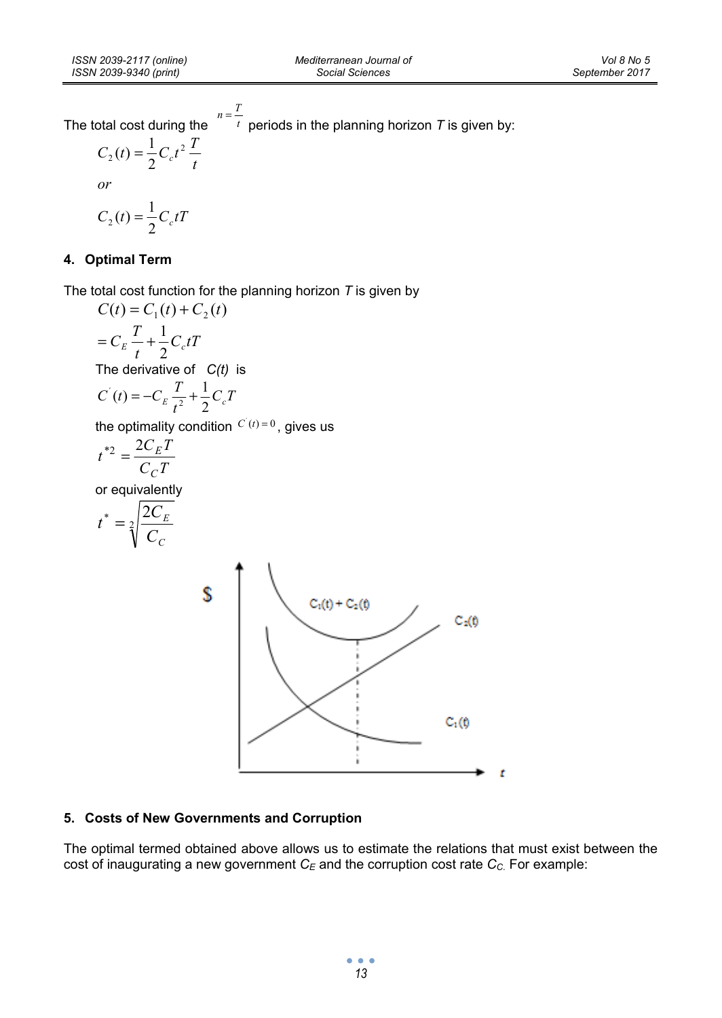The total cost during the  $n = \frac{T}{t}$  periods in the planning horizon *T* is given by:

$$
C_2(t) = \frac{1}{2}C_c t^2 \frac{T}{t}
$$
  
or  

$$
C_2(t) = \frac{1}{2}C_c tT
$$

# **4. Optimal Term**

The total cost function for the planning horizon *T* is given by

$$
C(t) = C_1(t) + C_2(t)
$$
  
=  $C_E \frac{T}{t} + \frac{1}{2}C_c tT$   
The derivative of  $C(t)$  is  

$$
C^{'}(t) = -C_E \frac{T}{t^2} + \frac{1}{2}C_cT
$$

the optimality condition  $C(t)=0$ , gives us

$$
t^{*2} = \frac{2C_E T}{C_C T}
$$

or equivalently

$$
t^* = \sqrt[2]{\frac{2C_E}{C_C}}
$$



# **5. Costs of New Governments and Corruption**

The optimal termed obtained above allows us to estimate the relations that must exist between the  $\frac{1}{2}$  cost of inaugurating a new government  $C_E$  and the corruption cost rate  $C_C$ . For example:

> $\bullet$   $\bullet$   $\bullet$ *13*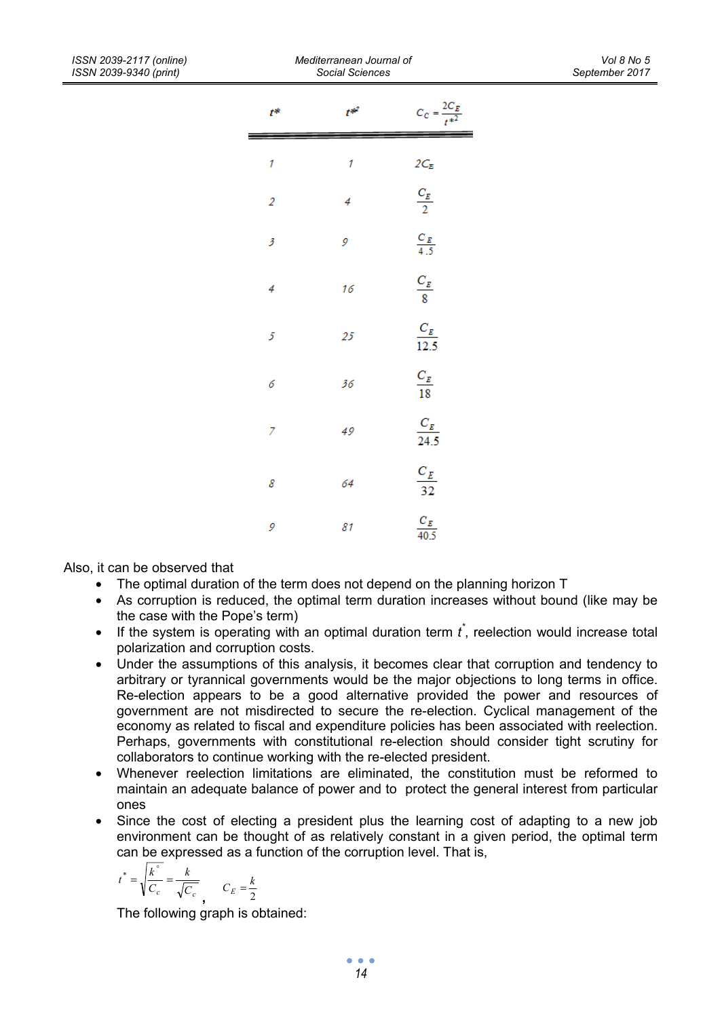| t*             | $t^{*2}$ | $C_C = \frac{2C_E}{t^{*2}}$ |
|----------------|----------|-----------------------------|
| 1              | 1        |                             |
| $\overline{2}$ | 4        | $2C_E$ $\frac{C_E}{2}$      |
| 3              | 9        | $\frac{C_E}{4.5}$           |
| 4              | 16       | $\frac{C_E}{8}$             |
| 5              | 25       | $\frac{C_E}{12.5}$          |
| 6              | 36       | $\frac{C_E}{18}$            |
| 7              | 49       | $\frac{C_E}{24.5}$          |
| 8              | 64       | $\frac{C_E}{32}$            |
| 9              | 81       | $\frac{C_E}{40.5}$          |

Also, it can be observed that

- The optimal duration of the term does not depend on the planning horizon T
- As corruption is reduced, the optimal term duration increases without bound (like may be the case with the Pope's term)
- $\bullet$  If the system is operating with an optimal duration term  $\vec{t}$ , reelection would increase total polarization and corruption costs.
- Under the assumptions of this analysis, it becomes clear that corruption and tendency to arbitrary or tyrannical governments would be the major objections to long terms in office. Re-election appears to be a good alternative provided the power and resources of government are not misdirected to secure the re-election. Cyclical management of the economy as related to fiscal and expenditure policies has been associated with reelection. Perhaps, governments with constitutional re-election should consider tight scrutiny for collaborators to continue working with the re-elected president.
- Whenever reelection limitations are eliminated, the constitution must be reformed to maintain an adequate balance of power and to protect the general interest from particular ones
- Since the cost of electing a president plus the learning cost of adapting to a new job environment can be thought of as relatively constant in a given period, the optimal term can be expressed as a function of the corruption level. That is,

$$
t^* = \sqrt{\frac{k^{\circ}}{C_c}} = \frac{k}{\sqrt{C_c}}
$$
 
$$
C_E = \frac{k}{2}
$$

The following graph is obtained: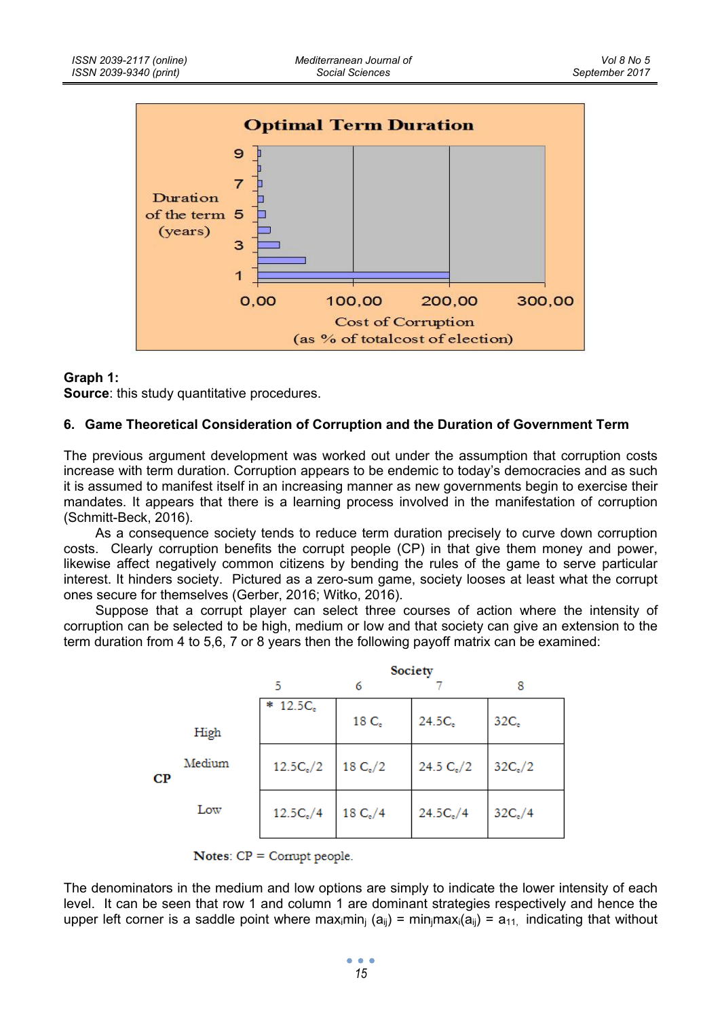

### **Graph 1:**

**Source**: this study quantitative procedures.

### **6. Game Theoretical Consideration of Corruption and the Duration of Government Term**

The previous argument development was worked out under the assumption that corruption costs increase with term duration. Corruption appears to be endemic to today's democracies and as such it is assumed to manifest itself in an increasing manner as new governments begin to exercise their mandates. It appears that there is a learning process involved in the manifestation of corruption (Schmitt-Beck, 2016).

As a consequence society tends to reduce term duration precisely to curve down corruption costs. Clearly corruption benefits the corrupt people (CP) in that give them money and power, likewise affect negatively common citizens by bending the rules of the game to serve particular interest. It hinders society. Pictured as a zero-sum game, society looses at least what the corrupt ones secure for themselves (Gerber, 2016; Witko, 2016).

Suppose that a corrupt player can select three courses of action where the intensity of corruption can be selected to be high, medium or low and that society can give an extension to the term duration from 4 to 5,6, 7 or 8 years then the following payoff matrix can be examined:

|    |        | Society     |                  |              |                  |
|----|--------|-------------|------------------|--------------|------------------|
|    |        | 5           | 6                |              | 8                |
|    | High   | $* 12.5Ce$  | 18C <sub>e</sub> | 24.5C,       | 32C <sub>e</sub> |
| CP | Medium | $12.5C_e/2$ | 18 $C_e/2$       | 24.5 $C_e/2$ | $32C_e/2$        |
|    | Low    | $12.5C_e/4$ | 18 $C_{\rm e}/4$ | $24.5C_e/4$  | $32C_e/4$        |

Notes:  $CP =$  Corrupt people.

The denominators in the medium and low options are simply to indicate the lower intensity of each level. It can be seen that row 1 and column 1 are dominant strategies respectively and hence the upper left corner is a saddle point where maximin<sub>i</sub> (a<sub>ii</sub>) = min<sub>i</sub>maxi(a<sub>ii</sub>) = a<sub>11</sub>, indicating that without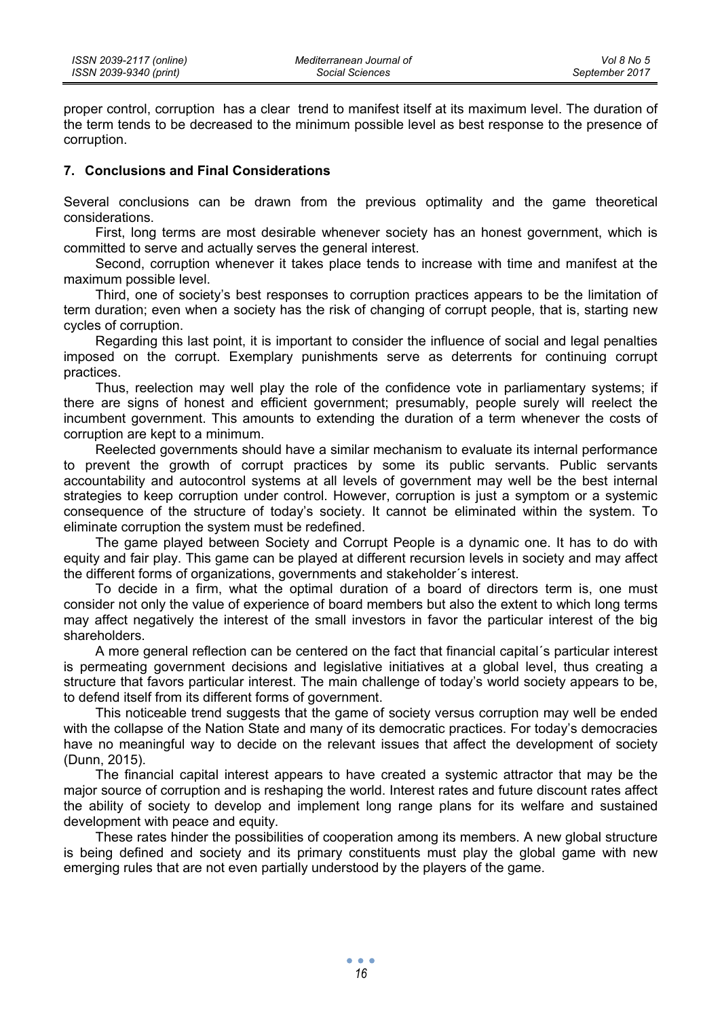proper control, corruption has a clear trend to manifest itself at its maximum level. The duration of the term tends to be decreased to the minimum possible level as best response to the presence of corruption.

### **7. Conclusions and Final Considerations**

Several conclusions can be drawn from the previous optimality and the game theoretical considerations.

First, long terms are most desirable whenever society has an honest government, which is committed to serve and actually serves the general interest.

Second, corruption whenever it takes place tends to increase with time and manifest at the maximum possible level.

Third, one of society's best responses to corruption practices appears to be the limitation of term duration; even when a society has the risk of changing of corrupt people, that is, starting new cycles of corruption.

Regarding this last point, it is important to consider the influence of social and legal penalties imposed on the corrupt. Exemplary punishments serve as deterrents for continuing corrupt practices.

Thus, reelection may well play the role of the confidence vote in parliamentary systems; if there are signs of honest and efficient government; presumably, people surely will reelect the incumbent government. This amounts to extending the duration of a term whenever the costs of corruption are kept to a minimum.

Reelected governments should have a similar mechanism to evaluate its internal performance to prevent the growth of corrupt practices by some its public servants. Public servants accountability and autocontrol systems at all levels of government may well be the best internal strategies to keep corruption under control. However, corruption is just a symptom or a systemic consequence of the structure of today's society. It cannot be eliminated within the system. To eliminate corruption the system must be redefined.

The game played between Society and Corrupt People is a dynamic one. It has to do with equity and fair play. This game can be played at different recursion levels in society and may affect the different forms of organizations, governments and stakeholder´s interest.

To decide in a firm, what the optimal duration of a board of directors term is, one must consider not only the value of experience of board members but also the extent to which long terms may affect negatively the interest of the small investors in favor the particular interest of the big shareholders.

A more general reflection can be centered on the fact that financial capital´s particular interest is permeating government decisions and legislative initiatives at a global level, thus creating a structure that favors particular interest. The main challenge of today's world society appears to be, to defend itself from its different forms of government.

This noticeable trend suggests that the game of society versus corruption may well be ended with the collapse of the Nation State and many of its democratic practices. For today's democracies have no meaningful way to decide on the relevant issues that affect the development of society (Dunn, 2015).

The financial capital interest appears to have created a systemic attractor that may be the major source of corruption and is reshaping the world. Interest rates and future discount rates affect the ability of society to develop and implement long range plans for its welfare and sustained development with peace and equity.

These rates hinder the possibilities of cooperation among its members. A new global structure is being defined and society and its primary constituents must play the global game with new emerging rules that are not even partially understood by the players of the game.